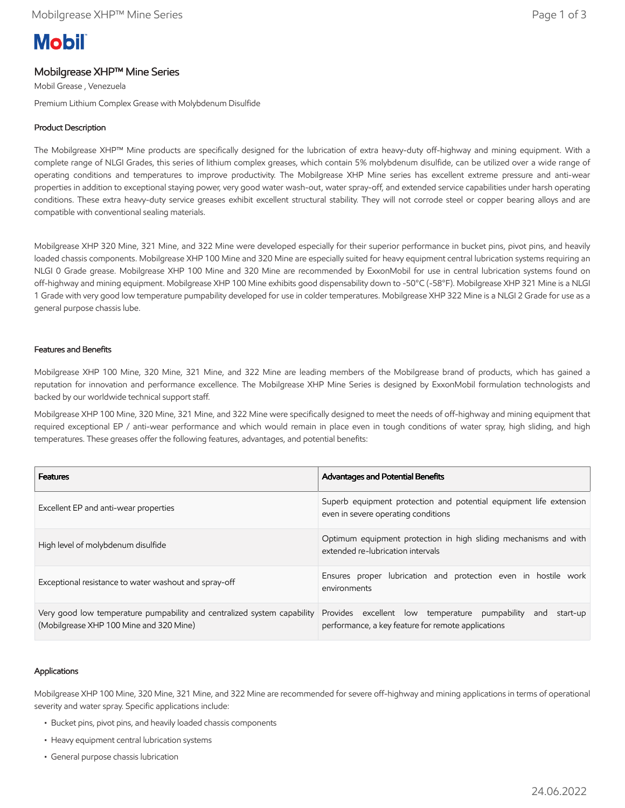# **Mobil**

# Mobilgrease XHP™ Mine Series

Mobil Grease , Venezuela

Premium Lithium Complex Grease with Molybdenum Disulfide

## Product Description

The Mobilgrease XHP™ Mine products are specifically designed for the lubrication of extra heavy-duty off-highway and mining equipment. With a complete range of NLGI Grades, this series of lithium complex greases, which contain 5% molybdenum disulfide, can be utilized over a wide range of operating conditions and temperatures to improve productivity. The Mobilgrease XHP Mine series has excellent extreme pressure and anti-wear properties in addition to exceptional staying power, very good water wash-out, water spray-off, and extended service capabilities under harsh operating conditions. These extra heavy-duty service greases exhibit excellent structural stability. They will not corrode steel or copper bearing alloys and are compatible with conventional sealing materials.

Mobilgrease XHP 320 Mine, 321 Mine, and 322 Mine were developed especially for their superior performance in bucket pins, pivot pins, and heavily loaded chassis components. Mobilgrease XHP 100 Mine and 320 Mine are especially suited for heavy equipment central lubrication systems requiring an NLGI 0 Grade grease. Mobilgrease XHP 100 Mine and 320 Mine are recommended by ExxonMobil for use in central lubrication systems found on off-highway and mining equipment. Mobilgrease XHP 100 Mine exhibits good dispensability down to -50°C (-58°F). Mobilgrease XHP 321 Mine is a NLGI 1 Grade with very good low temperature pumpability developed for use in colder temperatures. Mobilgrease XHP 322 Mine is a NLGI 2 Grade for use as a general purpose chassis lube.

#### Features and Benefits

Mobilgrease XHP 100 Mine, 320 Mine, 321 Mine, and 322 Mine are leading members of the Mobilgrease brand of products, which has gained a reputation for innovation and performance excellence. The Mobilgrease XHP Mine Series is designed by ExxonMobil formulation technologists and backed by our worldwide technical support staff.

Mobilgrease XHP 100 Mine, 320 Mine, 321 Mine, and 322 Mine were specifically designed to meet the needs of off-highway and mining equipment that required exceptional EP / anti-wear performance and which would remain in place even in tough conditions of water spray, high sliding, and high temperatures. These greases offer the following features, advantages, and potential benefits:

| <b>Features</b>                                                                                                    | Advantages and Potential Benefits                                                                                       |  |  |
|--------------------------------------------------------------------------------------------------------------------|-------------------------------------------------------------------------------------------------------------------------|--|--|
| Excellent EP and anti-wear properties                                                                              | Superb equipment protection and potential equipment life extension<br>even in severe operating conditions               |  |  |
| High level of molybdenum disulfide                                                                                 | Optimum equipment protection in high sliding mechanisms and with<br>extended re-lubrication intervals                   |  |  |
| Exceptional resistance to water washout and spray-off                                                              | Ensures proper lubrication and protection even in hostile work<br>environments                                          |  |  |
| Very good low temperature pumpability and centralized system capability<br>(Mobilgrease XHP 100 Mine and 320 Mine) | Provides excellent low temperature pumpability<br>start-up<br>and<br>performance, a key feature for remote applications |  |  |

#### Applications

Mobilgrease XHP 100 Mine, 320 Mine, 321 Mine, and 322 Mine are recommended for severe off-highway and mining applications in terms of operational severity and water spray. Specific applications include:

- Bucket pins, pivot pins, and heavily loaded chassis components
- Heavy equipment central lubrication systems
- General purpose chassis lubrication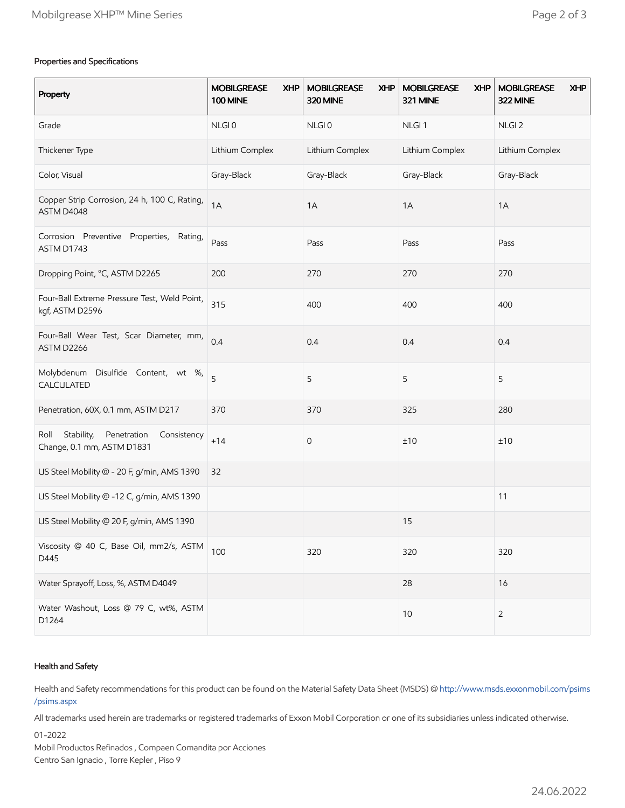### Properties and Specifications

| Property                                                                       | <b>MOBILGREASE</b><br><b>XHP</b><br><b>100 MINE</b> | <b>MOBILGREASE</b><br><b>XHP</b><br>320 MINE | <b>MOBILGREASE</b><br><b>XHP</b><br>321 MINE | <b>MOBILGREASE</b><br><b>XHP</b><br>322 MINE |
|--------------------------------------------------------------------------------|-----------------------------------------------------|----------------------------------------------|----------------------------------------------|----------------------------------------------|
| Grade                                                                          | NLGI0                                               | NLGI0                                        | NLGI <sub>1</sub>                            | NLGI <sub>2</sub>                            |
| Thickener Type                                                                 | Lithium Complex                                     | Lithium Complex                              | Lithium Complex                              | Lithium Complex                              |
| Color, Visual                                                                  | Gray-Black                                          | Gray-Black                                   | Gray-Black                                   | Gray-Black                                   |
| Copper Strip Corrosion, 24 h, 100 C, Rating,<br>ASTM D4048                     | 1A                                                  | 1A                                           | 1A                                           | 1A                                           |
| Corrosion Preventive Properties,<br>Rating,<br>ASTM D1743                      | Pass                                                | Pass                                         | Pass                                         | Pass                                         |
| Dropping Point, °C, ASTM D2265                                                 | 200                                                 | 270                                          | 270                                          | 270                                          |
| Four-Ball Extreme Pressure Test, Weld Point,<br>kgf, ASTM D2596                | 315                                                 | 400                                          | 400                                          | 400                                          |
| Four-Ball Wear Test, Scar Diameter, mm,<br>ASTM D2266                          | 0.4                                                 | 0.4                                          | 0.4                                          | 0.4                                          |
| Molybdenum Disulfide Content, wt %,<br>CALCULATED                              | 5                                                   | 5                                            | 5                                            | 5                                            |
| Penetration, 60X, 0.1 mm, ASTM D217                                            | 370                                                 | 370                                          | 325                                          | 280                                          |
| Stability,<br>Penetration<br>Roll<br>Consistency<br>Change, 0.1 mm, ASTM D1831 | $+14$                                               | 0                                            | ±10                                          | ±10                                          |
| US Steel Mobility @ - 20 F, g/min, AMS 1390                                    | 32                                                  |                                              |                                              |                                              |
| US Steel Mobility @ -12 C, g/min, AMS 1390                                     |                                                     |                                              |                                              | 11                                           |
| US Steel Mobility @ 20 F, g/min, AMS 1390                                      |                                                     |                                              | 15                                           |                                              |
| Viscosity @ 40 C, Base Oil, mm2/s, ASTM<br>D445                                | 100                                                 | 320                                          | 320                                          | 320                                          |
| Water Sprayoff, Loss, %, ASTM D4049                                            |                                                     |                                              | 28                                           | 16                                           |
| Water Washout, Loss @ 79 C, wt%, ASTM<br>D1264                                 |                                                     |                                              | 10                                           | $\overline{2}$                               |

#### Health and Safety

Health and Safety recommendations for this product can be found on the Material Safety Data Sheet (MSDS) @ [http://www.msds.exxonmobil.com/psims](http://www.msds.exxonmobil.com/psims/psims.aspx) /psims.aspx

All trademarks used herein are trademarks or registered trademarks of Exxon Mobil Corporation or one of its subsidiaries unless indicated otherwise.

01-2022

Mobil Productos Refinados , Compaen Comandita por Acciones Centro San Ignacio , Torre Kepler , Piso 9